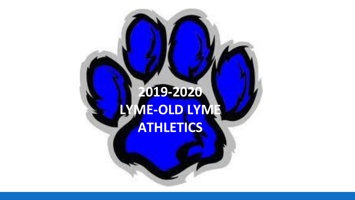## **2019-2020 LYME-OLD LYME ATHLETICS**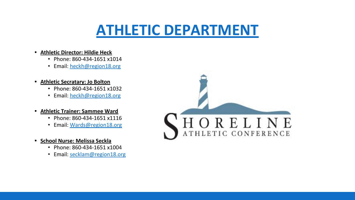## **[ATHLETIC DEPARTMENT](https://www.region18.org/page.cfm?p=316)**

- **• Athletic Director: Hildie Heck**
	- Phone: 860-434-1651 x1014
	- Email: [heckh@region18.org](mailto:heckh@region18.org)
- **• Athletic Secratary: Jo Bolton**
	- Phone: 860-434-1651 x1032
	- Email: [heckh@region18.org](mailto:heckh@region18.org)
- **• Athletic Trainer: Sammee Ward**
	- Phone: 860-434-1651 x1116
	- Email: [Wards@region18.org](mailto:Wards@region18.org)
- **• School Nurse: Melissa Seckla**
	- Phone: 860-434-1651 x1004
	- Email: [secklam@region18.org](mailto:secklam@region18.org)

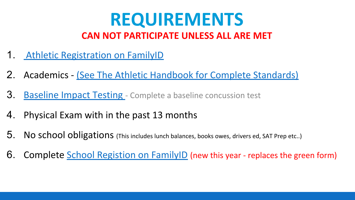## **REQUIREMENTS CAN NOT PARTICIPATE UNLESS ALL ARE MET**

- 1. [Athletic Registration on FamilyID](https://www.familyid.com/lyme-old-lyme-athletics/2019-2020-high-school-fall-athletic-registration-3)
- 2. Academics [\(See The Athletic Handbook for Complete Standards\)](https://resources.finalsite.net/images/v1546108787/region18/hfulyrhdce8rqcfy3vei/Athletic_Handbook.pdf)
- 3. [Baseline Impact Testing](https://resources.finalsite.net/images/v1560884820/region18/rfmgco2pkr2hbfu0qlzi/ImPACT_Testing_Fall_2019.pdf)  Complete a baseline concussion test
- 4. Physical Exam with in the past 13 months
- 5. No school obligations (This includes lunch balances, books owes, drivers ed, SAT Prep etc..)
- 6. Complete [School Registion on FamilyID](https://www.familyid.com/programs/2019-2020-lyme-old-lyme-high-school) (new this year replaces the green form)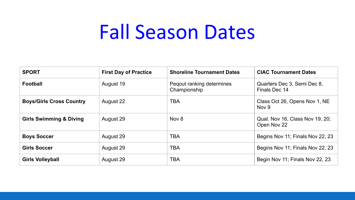# Fall Season Dates

| <b>SPORT</b>                       | <b>First Day of Practice</b> | <b>Shoreline Tournament Dates</b>         | <b>CIAC Tournament Dates</b>                   |
|------------------------------------|------------------------------|-------------------------------------------|------------------------------------------------|
| <b>Football</b>                    | August 19                    | Pegout ranking determines<br>Championship | Quarters Dec 3, Semi Dec 8,<br>Finals Dec 14   |
| <b>Boys/Girls Cross Country</b>    | August 22                    | <b>TBA</b>                                | Class Oct 26, Opens Nov 1, NE<br>Nov 9         |
| <b>Girls Swimming &amp; Diving</b> | August 29                    | Nov 8                                     | Qual. Nov 16, Class Nov 19, 20;<br>Open Nov 22 |
| <b>Boys Soccer</b>                 | August 29                    | <b>TBA</b>                                | Begins Nov 11; Finals Nov 22, 23               |
| <b>Girls Soccer</b>                | August 29                    | <b>TBA</b>                                | Begins Nov 11; Finals Nov 22, 23               |
| <b>Girls Volleyball</b>            | August 29                    | <b>TBA</b>                                | Begin Nov 11; Finals Nov 22, 23                |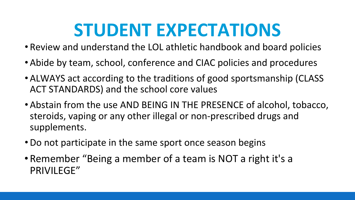# **STUDENT EXPECTATIONS**

- Review and understand the LOL athletic handbook and board policies
- •Abide by team, school, conference and CIAC policies and procedures
- ALWAYS act according to the traditions of good sportsmanship (CLASS ACT STANDARDS) and the school core values
- •Abstain from the use AND BEING IN THE PRESENCE of alcohol, tobacco, steroids, vaping or any other illegal or non-prescribed drugs and supplements.
- •Do not participate in the same sport once season begins
- •Remember "Being a member of a team is NOT a right it's a PRIVILEGE"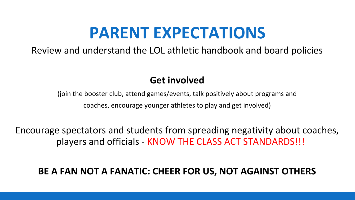## **PARENT EXPECTATIONS**

Review and understand the LOL athletic handbook and board policies

## **Get involved**

(join the booster club, attend games/events, talk positively about programs and coaches, encourage younger athletes to play and get involved)

Encourage spectators and students from spreading negativity about coaches, players and officials - KNOW THE CLASS ACT STANDARDS!!!

## **BE A FAN NOT A FANATIC: CHEER FOR US, NOT AGAINST OTHERS**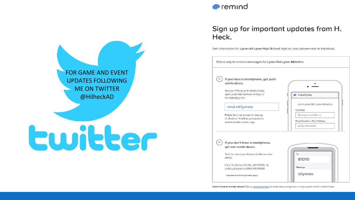

#### Sign up for important updates from H. Heck.

Get information for Lyme-old Lyme High School right on your phone-not on handouts.



**FOR GAMF AND FVFNT UPDATES FOLLOWING MF ON TWITTER** @HilheckAD

# Ewitter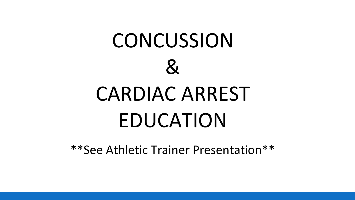

\*\*See Athletic Trainer Presentation\*\*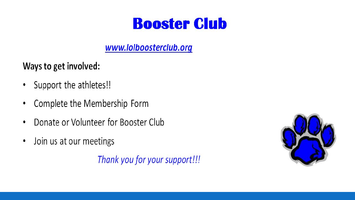## **Booster Club**

## www.lolboosterclub.org

## Ways to get involved:

- Support the athletes!!  $\bullet$
- Complete the Membership Form  $\bullet$
- Donate or Volunteer for Booster Club  $\bullet$
- Join us at our meetings  $\bullet$

Thank you for your support!!!

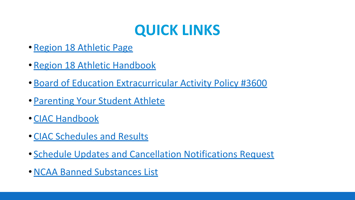## **QUICK LINKS**

- [Region 18 Athletic Page](http://www.region18.org/page.cfm?p=316)
- [Region 18 Athletic Handbook](http://www.region18.org/uploaded/athletics/Athletic_Handbook_2014.pdf)
- [Board of Education Extracurricular Activity Policy #3600](https://www.region18.org/uploaded/Policy_Book_PDF_Format/3600.pdf)
- [Parenting Your Student Athlete](http://www.caadinc.org/parentvideo.html)
- [CIAC Handbook](http://www.casciac.org/pdfs/ciachandbook_1516.pdf)
- [CIAC Schedules and Results](http://ciacsports.com/site/?page_id=105)
- [Schedule Updates and Cancellation Notifications Request](http://ciacsports.com/site/?page_id=116)
- •[NCAA Banned Substances List](http://www.ncaa.org/2015-16-ncaa-banned-drugs)